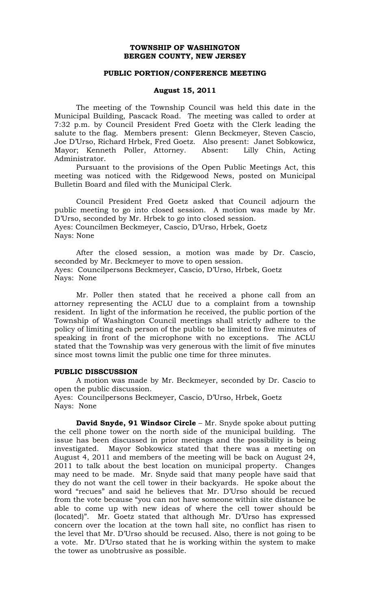# **TOWNSHIP OF WASHINGTON BERGEN COUNTY, NEW JERSEY**

## **PUBLIC PORTION/CONFERENCE MEETING**

# **August 15, 2011**

The meeting of the Township Council was held this date in the Municipal Building, Pascack Road. The meeting was called to order at 7:32 p.m. by Council President Fred Goetz with the Clerk leading the salute to the flag. Members present: Glenn Beckmeyer, Steven Cascio, Joe D'Urso, Richard Hrbek, Fred Goetz. Also present: Janet Sobkowicz, Mayor; Kenneth Poller, Attorney. Absent: Lilly Chin, Acting Administrator.

Pursuant to the provisions of the Open Public Meetings Act, this meeting was noticed with the Ridgewood News, posted on Municipal Bulletin Board and filed with the Municipal Clerk.

Council President Fred Goetz asked that Council adjourn the public meeting to go into closed session. A motion was made by Mr. D'Urso, seconded by Mr. Hrbek to go into closed session. Ayes: Councilmen Beckmeyer, Cascio, D'Urso, Hrbek, Goetz Nays: None

After the closed session, a motion was made by Dr. Cascio, seconded by Mr. Beckmeyer to move to open session. Ayes: Councilpersons Beckmeyer, Cascio, D'Urso, Hrbek, Goetz Nays: None

Mr. Poller then stated that he received a phone call from an attorney representing the ACLU due to a complaint from a township resident. In light of the information he received, the public portion of the Township of Washington Council meetings shall strictly adhere to the policy of limiting each person of the public to be limited to five minutes of speaking in front of the microphone with no exceptions. The ACLU stated that the Township was very generous with the limit of five minutes since most towns limit the public one time for three minutes.

## **PUBLIC DISSCUSSION**

A motion was made by Mr. Beckmeyer, seconded by Dr. Cascio to open the public discussion. Ayes: Councilpersons Beckmeyer, Cascio, D'Urso, Hrbek, Goetz

Nays: None

**David Snyde, 91 Windsor Circle** – Mr. Snyde spoke about putting the cell phone tower on the north side of the municipal building. The issue has been discussed in prior meetings and the possibility is being investigated. Mayor Sobkowicz stated that there was a meeting on August 4, 2011 and members of the meeting will be back on August 24, 2011 to talk about the best location on municipal property. Changes may need to be made. Mr. Snyde said that many people have said that they do not want the cell tower in their backyards. He spoke about the word "recues" and said he believes that Mr. D'Urso should be recued from the vote because "you can not have someone within site distance be able to come up with new ideas of where the cell tower should be (located)". Mr. Goetz stated that although Mr. D'Urso has expressed concern over the location at the town hall site, no conflict has risen to the level that Mr. D'Urso should be recused. Also, there is not going to be a vote. Mr. D'Urso stated that he is working within the system to make the tower as unobtrusive as possible.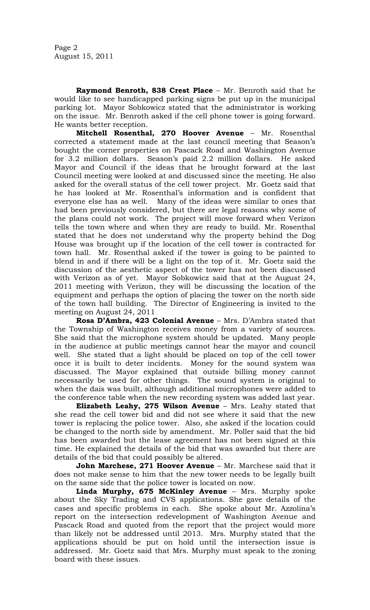Page 2 August 15, 2011

**Raymond Benroth, 838 Crest Place** – Mr. Benroth said that he would like to see handicapped parking signs be put up in the municipal parking lot. Mayor Sobkowicz stated that the administrator is working on the issue. Mr. Benroth asked if the cell phone tower is going forward. He wants better reception.

**Mitchell Rosenthal, 270 Hoover Avenue** – Mr. Rosenthal corrected a statement made at the last council meeting that Season's bought the corner properties on Pascack Road and Washington Avenue for 3.2 million dollars. Season's paid 2.2 million dollars. He asked Mayor and Council if the ideas that he brought forward at the last Council meeting were looked at and discussed since the meeting. He also asked for the overall status of the cell tower project. Mr. Goetz said that he has looked at Mr. Rosenthal's information and is confident that everyone else has as well. Many of the ideas were similar to ones that had been previously considered, but there are legal reasons why some of the plans could not work. The project will move forward when Verizon tells the town where and when they are ready to build. Mr. Rosenthal stated that he does not understand why the property behind the Dog House was brought up if the location of the cell tower is contracted for town hall. Mr. Rosenthal asked if the tower is going to be painted to blend in and if there will be a light on the top of it. Mr. Goetz said the discussion of the aesthetic aspect of the tower has not been discussed with Verizon as of yet. Mayor Sobkowicz said that at the August 24, 2011 meeting with Verizon, they will be discussing the location of the equipment and perhaps the option of placing the tower on the north side of the town hall building. The Director of Engineering is invited to the meeting on August 24, 2011

**Rosa D'Ambra, 423 Colonial Avenue** – Mrs. D'Ambra stated that the Township of Washington receives money from a variety of sources. She said that the microphone system should be updated. Many people in the audience at public meetings cannot hear the mayor and council well. She stated that a light should be placed on top of the cell tower once it is built to deter incidents. Money for the sound system was discussed. The Mayor explained that outside billing money cannot necessarily be used for other things. The sound system is original to when the dais was built, although additional microphones were added to the conference table when the new recording system was added last year.

**Elizabeth Leahy, 275 Wilson Avenue** – Mrs. Leahy stated that she read the cell tower bid and did not see where it said that the new tower is replacing the police tower. Also, she asked if the location could be changed to the north side by amendment. Mr. Poller said that the bid has been awarded but the lease agreement has not been signed at this time. He explained the details of the bid that was awarded but there are details of the bid that could possibly be altered.

**John Marchese, 271 Hoover Avenue** – Mr. Marchese said that it does not make sense to him that the new tower needs to be legally built on the same side that the police tower is located on now.

**Linda Murphy, 675 McKinley Avenue** – Mrs. Murphy spoke about the Sky Trading and CVS applications. She gave details of the cases and specific problems in each. She spoke about Mr. Azzolina's report on the intersection redevelopment of Washington Avenue and Pascack Road and quoted from the report that the project would more than likely not be addressed until 2013. Mrs. Murphy stated that the applications should be put on hold until the intersection issue is addressed. Mr. Goetz said that Mrs. Murphy must speak to the zoning board with these issues.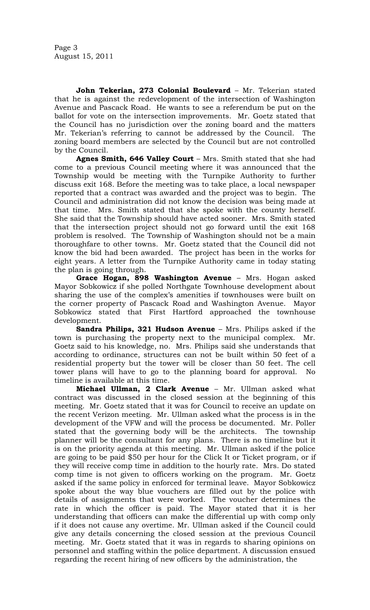Page 3 August 15, 2011

**John Tekerian, 273 Colonial Boulevard** – Mr. Tekerian stated that he is against the redevelopment of the intersection of Washington Avenue and Pascack Road. He wants to see a referendum be put on the ballot for vote on the intersection improvements. Mr. Goetz stated that the Council has no jurisdiction over the zoning board and the matters Mr. Tekerian's referring to cannot be addressed by the Council. The zoning board members are selected by the Council but are not controlled by the Council.

**Agnes Smith, 646 Valley Court** – Mrs. Smith stated that she had come to a previous Council meeting where it was announced that the Township would be meeting with the Turnpike Authority to further discuss exit 168. Before the meeting was to take place, a local newspaper reported that a contract was awarded and the project was to begin. The Council and administration did not know the decision was being made at that time. Mrs. Smith stated that she spoke with the county herself. She said that the Township should have acted sooner. Mrs. Smith stated that the intersection project should not go forward until the exit 168 problem is resolved. The Township of Washington should not be a main thoroughfare to other towns. Mr. Goetz stated that the Council did not know the bid had been awarded. The project has been in the works for eight years. A letter from the Turnpike Authority came in today stating the plan is going through.

**Grace Hogan, 898 Washington Avenue** – Mrs. Hogan asked Mayor Sobkowicz if she polled Northgate Townhouse development about sharing the use of the complex's amenities if townhouses were built on the corner property of Pascack Road and Washington Avenue. Mayor Sobkowicz stated that First Hartford approached the townhouse development.

**Sandra Philips, 321 Hudson Avenue** – Mrs. Philips asked if the town is purchasing the property next to the municipal complex. Mr. Goetz said to his knowledge, no. Mrs. Philips said she understands that according to ordinance, structures can not be built within 50 feet of a residential property but the tower will be closer than 50 feet. The cell tower plans will have to go to the planning board for approval. No timeline is available at this time.

**Michael Ullman, 2 Clark Avenue** – Mr. Ullman asked what contract was discussed in the closed session at the beginning of this meeting. Mr. Goetz stated that it was for Council to receive an update on the recent Verizon meeting. Mr. Ullman asked what the process is in the development of the VFW and will the process be documented. Mr. Poller stated that the governing body will be the architects. The township planner will be the consultant for any plans. There is no timeline but it is on the priority agenda at this meeting. Mr. Ullman asked if the police are going to be paid \$50 per hour for the Click It or Ticket program, or if they will receive comp time in addition to the hourly rate. Mrs. Do stated comp time is not given to officers working on the program. Mr. Goetz asked if the same policy in enforced for terminal leave. Mayor Sobkowicz spoke about the way blue vouchers are filled out by the police with details of assignments that were worked. The voucher determines the rate in which the officer is paid. The Mayor stated that it is her understanding that officers can make the differential up with comp only if it does not cause any overtime. Mr. Ullman asked if the Council could give any details concerning the closed session at the previous Council meeting. Mr. Goetz stated that it was in regards to sharing opinions on personnel and staffing within the police department. A discussion ensued regarding the recent hiring of new officers by the administration, the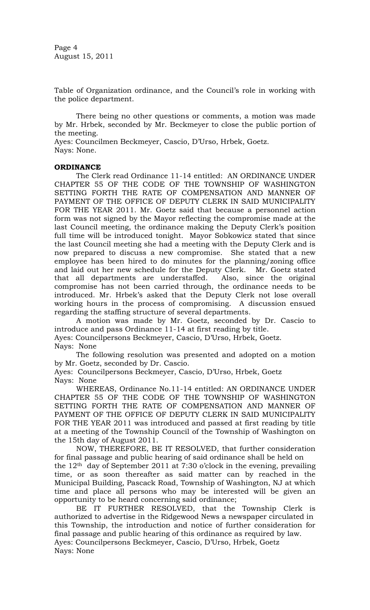Page 4 August 15, 2011

Table of Organization ordinance, and the Council's role in working with the police department.

There being no other questions or comments, a motion was made by Mr. Hrbek, seconded by Mr. Beckmeyer to close the public portion of the meeting.

Ayes: Councilmen Beckmeyer, Cascio, D'Urso, Hrbek, Goetz. Nays: None.

# **ORDINANCE**

The Clerk read Ordinance 11-14 entitled: AN ORDINANCE UNDER CHAPTER 55 OF THE CODE OF THE TOWNSHIP OF WASHINGTON SETTING FORTH THE RATE OF COMPENSATION AND MANNER OF PAYMENT OF THE OFFICE OF DEPUTY CLERK IN SAID MUNICIPALITY FOR THE YEAR 2011. Mr. Goetz said that because a personnel action form was not signed by the Mayor reflecting the compromise made at the last Council meeting, the ordinance making the Deputy Clerk's position full time will be introduced tonight. Mayor Sobkowicz stated that since the last Council meeting she had a meeting with the Deputy Clerk and is now prepared to discuss a new compromise. She stated that a new employee has been hired to do minutes for the planning/zoning office and laid out her new schedule for the Deputy Clerk. Mr. Goetz stated that all departments are understaffed. Also, since the original compromise has not been carried through, the ordinance needs to be introduced. Mr. Hrbek's asked that the Deputy Clerk not lose overall working hours in the process of compromising. A discussion ensued regarding the staffing structure of several departments.

A motion was made by Mr. Goetz, seconded by Dr. Cascio to introduce and pass Ordinance 11-14 at first reading by title.

Ayes: Councilpersons Beckmeyer, Cascio, D'Urso, Hrbek, Goetz. Nays: None

The following resolution was presented and adopted on a motion by Mr. Goetz, seconded by Dr. Cascio.

Ayes: Councilpersons Beckmeyer, Cascio, D'Urso, Hrbek, Goetz Nays: None

WHEREAS, Ordinance No.11-14 entitled: AN ORDINANCE UNDER CHAPTER 55 OF THE CODE OF THE TOWNSHIP OF WASHINGTON SETTING FORTH THE RATE OF COMPENSATION AND MANNER OF PAYMENT OF THE OFFICE OF DEPUTY CLERK IN SAID MUNICIPALITY FOR THE YEAR 2011 was introduced and passed at first reading by title at a meeting of the Township Council of the Township of Washington on the 15th day of August 2011.

NOW, THEREFORE, BE IT RESOLVED, that further consideration for final passage and public hearing of said ordinance shall be held on the  $12<sup>th</sup>$  day of September 2011 at 7:30 o'clock in the evening, prevailing time, or as soon thereafter as said matter can by reached in the Municipal Building, Pascack Road, Township of Washington, NJ at which time and place all persons who may be interested will be given an opportunity to be heard concerning said ordinance;

BE IT FURTHER RESOLVED, that the Township Clerk is authorized to advertise in the Ridgewood News a newspaper circulated in this Township, the introduction and notice of further consideration for final passage and public hearing of this ordinance as required by law. Ayes: Councilpersons Beckmeyer, Cascio, D'Urso, Hrbek, Goetz Nays: None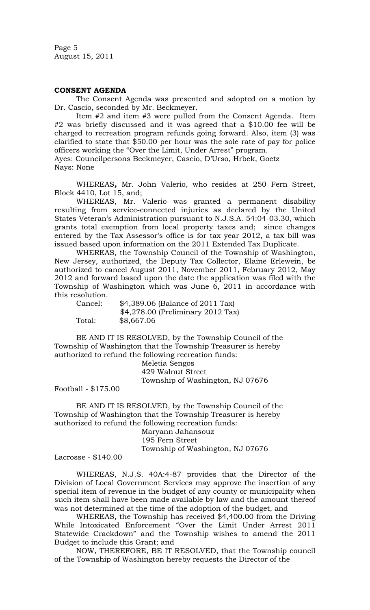Page 5 August 15, 2011

## **CONSENT AGENDA**

The Consent Agenda was presented and adopted on a motion by Dr. Cascio, seconded by Mr. Beckmeyer.

Item #2 and item #3 were pulled from the Consent Agenda. Item #2 was briefly discussed and it was agreed that a \$10.00 fee will be charged to recreation program refunds going forward. Also, item (3) was clarified to state that \$50.00 per hour was the sole rate of pay for police officers working the "Over the Limit, Under Arrest" program.

Ayes: Councilpersons Beckmeyer, Cascio, D'Urso, Hrbek, Goetz Nays: None

WHEREAS*,* Mr. John Valerio, who resides at 250 Fern Street, Block 4410, Lot 15, and;

WHEREAS, Mr. Valerio was granted a permanent disability resulting from service-connected injuries as declared by the United States Veteran's Administration pursuant to N.J.S.A. 54:04-03.30, which grants total exemption from local property taxes and; since changes entered by the Tax Assessor's office is for tax year 2012, a tax bill was issued based upon information on the 2011 Extended Tax Duplicate.

WHEREAS, the Township Council of the Township of Washington, New Jersey, authorized, the Deputy Tax Collector, Elaine Erlewein, be authorized to cancel August 2011, November 2011, February 2012, May 2012 and forward based upon the date the application was filed with the Township of Washington which was June 6, 2011 in accordance with this resolution.

| Cancel: | \$4,389.06 (Balance of 2011 Tax)   |
|---------|------------------------------------|
|         | $$4,278.00$ (Preliminary 2012 Tax) |
| Total:  | \$8,667.06                         |

BE AND IT IS RESOLVED, by the Township Council of the Township of Washington that the Township Treasurer is hereby authorized to refund the following recreation funds:

Meletia Sengos 429 Walnut Street Township of Washington, NJ 07676

Football - \$175.00

BE AND IT IS RESOLVED, by the Township Council of the Township of Washington that the Township Treasurer is hereby authorized to refund the following recreation funds:

Maryann Jahansouz 195 Fern Street Township of Washington, NJ 07676

Lacrosse - \$140.00

WHEREAS, N.J.S. 40A:4-87 provides that the Director of the Division of Local Government Services may approve the insertion of any special item of revenue in the budget of any county or municipality when such item shall have been made available by law and the amount thereof was not determined at the time of the adoption of the budget, and

WHEREAS, the Township has received \$4,400.00 from the Driving While Intoxicated Enforcement "Over the Limit Under Arrest 2011 Statewide Crackdown" and the Township wishes to amend the 2011 Budget to include this Grant; and

NOW, THEREFORE, BE IT RESOLVED, that the Township council of the Township of Washington hereby requests the Director of the